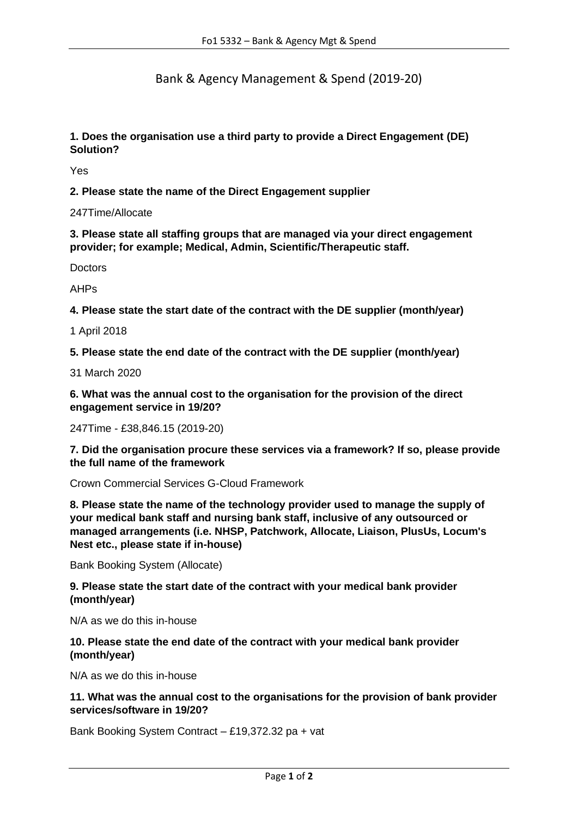Bank & Agency Management & Spend (2019-20)

**1. Does the organisation use a third party to provide a Direct Engagement (DE) Solution?**

Yes

**2. Please state the name of the Direct Engagement supplier** 

247Time/Allocate

**3. Please state all staffing groups that are managed via your direct engagement provider; for example; Medical, Admin, Scientific/Therapeutic staff.**

**Doctors** 

AHPs

**4. Please state the start date of the contract with the DE supplier (month/year)**

1 April 2018

**5. Please state the end date of the contract with the DE supplier (month/year)**

31 March 2020

**6. What was the annual cost to the organisation for the provision of the direct engagement service in 19/20?**

247Time - £38,846.15 (2019-20)

**7. Did the organisation procure these services via a framework? If so, please provide the full name of the framework**

Crown Commercial Services G-Cloud Framework

**8. Please state the name of the technology provider used to manage the supply of your medical bank staff and nursing bank staff, inclusive of any outsourced or managed arrangements (i.e. NHSP, Patchwork, Allocate, Liaison, PlusUs, Locum's Nest etc., please state if in-house)** 

Bank Booking System (Allocate)

## **9. Please state the start date of the contract with your medical bank provider (month/year)**

N/A as we do this in-house

## **10. Please state the end date of the contract with your medical bank provider (month/year)**

N/A as we do this in-house

**11. What was the annual cost to the organisations for the provision of bank provider services/software in 19/20?**

Bank Booking System Contract – £19,372.32 pa + vat